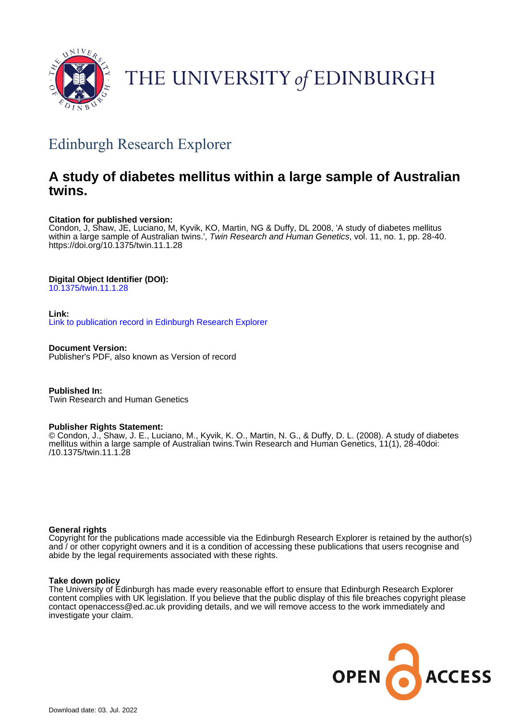

# THE UNIVERSITY of EDINBURGH

# Edinburgh Research Explorer

# **A study of diabetes mellitus within a large sample of Australian twins.**

# **Citation for published version:**

Condon, J, Shaw, JE, Luciano, M, Kyvik, KO, Martin, NG & Duffy, DL 2008, 'A study of diabetes mellitus within a large sample of Australian twins.', Twin Research and Human Genetics, vol. 11, no. 1, pp. 28-40. <https://doi.org/10.1375/twin.11.1.28>

# **Digital Object Identifier (DOI):**

[10.1375/twin.11.1.28](https://doi.org/10.1375/twin.11.1.28)

# **Link:**

[Link to publication record in Edinburgh Research Explorer](https://www.research.ed.ac.uk/en/publications/c1473c9c-0074-4a66-8c07-53fa39cca45f)

**Document Version:** Publisher's PDF, also known as Version of record

**Published In:** Twin Research and Human Genetics

# **Publisher Rights Statement:**

© Condon, J., Shaw, J. E., Luciano, M., Kyvik, K. O., Martin, N. G., & Duffy, D. L. (2008). A study of diabetes mellitus within a large sample of Australian twins.Twin Research and Human Genetics, 11(1), 28-40doi: /10.1375/twin.11.1.28

# **General rights**

Copyright for the publications made accessible via the Edinburgh Research Explorer is retained by the author(s) and / or other copyright owners and it is a condition of accessing these publications that users recognise and abide by the legal requirements associated with these rights.

# **Take down policy**

The University of Edinburgh has made every reasonable effort to ensure that Edinburgh Research Explorer content complies with UK legislation. If you believe that the public display of this file breaches copyright please contact openaccess@ed.ac.uk providing details, and we will remove access to the work immediately and investigate your claim.

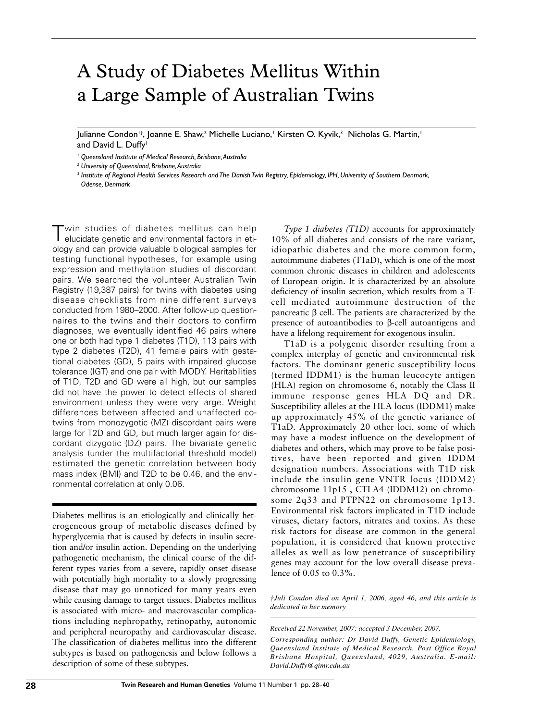# A Study of Diabetes Mellitus Within a Large Sample of Australian Twins

Julianne Condon<sup>1†</sup>, Joanne E. Shaw,<sup>2</sup> Michelle Luciano,<sup>1</sup> Kirsten O. Kyvik,<sup>3</sup> Nicholas G. Martin,<sup>1</sup> and David L. Duffy<sup>1</sup>

*<sup>1</sup> Queensland Institute of Medical Research, Brisbane, Australia*

*<sup>2</sup> University of Queensland, Brisbane, Australia*

*<sup>3</sup> Institute of Regional Health Services Research and The Danish Twin Registry, Epidemiology, IPH, University of Southern Denmark, Odense, Denmark*

Twin studies of diabetes mellitus can help elucidate genetic and environmental factors in etiology and can provide valuable biological samples for testing functional hypotheses, for example using expression and methylation studies of discordant pairs. We searched the volunteer Australian Twin Registry (19,387 pairs) for twins with diabetes using disease checklists from nine different surveys conducted from 1980–2000. After follow-up questionnaires to the twins and their doctors to confirm diagnoses, we eventually identified 46 pairs where one or both had type 1 diabetes (T1D), 113 pairs with type 2 diabetes (T2D), 41 female pairs with gestational diabetes (GD), 5 pairs with impaired glucose tolerance (IGT) and one pair with MODY. Heritabilities of T1D, T2D and GD were all high, but our samples did not have the power to detect effects of shared environment unless they were very large. Weight differences between affected and unaffected cotwins from monozygotic (MZ) discordant pairs were large for T2D and GD, but much larger again for discordant dizygotic (DZ) pairs. The bivariate genetic analysis (under the multifactorial threshold model) estimated the genetic correlation between body mass index (BMI) and T2D to be 0.46, and the environmental correlation at only 0.06.

Diabetes mellitus is an etiologically and clinically heterogeneous group of metabolic diseases defined by hyperglycemia that is caused by defects in insulin secretion and/or insulin action. Depending on the underlying pathogenetic mechanism, the clinical course of the different types varies from a severe, rapidly onset disease with potentially high mortality to a slowly progressing disease that may go unnoticed for many years even while causing damage to target tissues. Diabetes mellitus is associated with micro- and macrovascular complications including nephropathy, retinopathy, autonomic and peripheral neuropathy and cardiovascular disease. The classification of diabetes mellitus into the different subtypes is based on pathogenesis and below follows a description of some of these subtypes.

*Type 1 diabetes (T1D)* accounts for approximately 10% of all diabetes and consists of the rare variant, idiopathic diabetes and the more common form, autoimmune diabetes (T1aD), which is one of the most common chronic diseases in children and adolescents of European origin. It is characterized by an absolute deficiency of insulin secretion, which results from a Tcell mediated autoimmune destruction of the pancreatic β cell. The patients are characterized by the presence of autoantibodies to β-cell autoantigens and have a lifelong requirement for exogenous insulin.

T1aD is a polygenic disorder resulting from a complex interplay of genetic and environmental risk factors. The dominant genetic susceptibility locus (termed IDDM1) is the human leucocyte antigen (HLA) region on chromosome 6, notably the Class II immune response genes HLA DQ and DR. Susceptibility alleles at the HLA locus (IDDM1) make up approximately 45% of the genetic variance of T1aD. Approximately 20 other loci, some of which may have a modest influence on the development of diabetes and others, which may prove to be false positives, have been reported and given IDDM designation numbers. Associations with T1D risk include the insulin gene-VNTR locus (IDDM2) chromosome 11p15 , CTLA4 (IDDM12) on chromosome 2q33 and PTPN22 on chromosome 1p13. Environmental risk factors implicated in T1D include viruses, dietary factors, nitrates and toxins. As these risk factors for disease are common in the general population, it is considered that known protective alleles as well as low penetrance of susceptibility genes may account for the low overall disease prevalence of 0.05 to 0.3%.

*†Juli Condon died on April 1, 2006, aged 46, and this article is dedicated to her memory*

*Received 22 November, 2007; accepted 3 December, 2007.*

*Corresponding author: Dr David Duffy, Genetic Epidemiology, Queensland Institute of Medical Research, Post Office Royal Brisbane Hospital, Queensland, 4029, Australia. E-mail: David.Duffy@qimr.edu.au*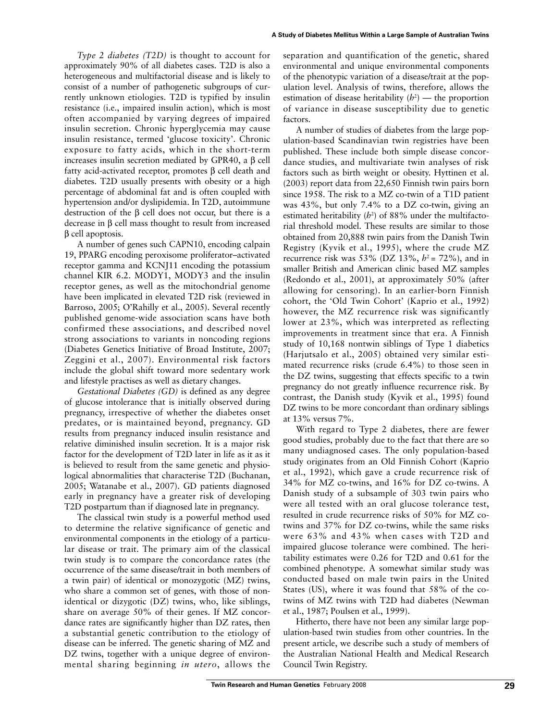*Type 2 diabetes (T2D)* is thought to account for approximately 90% of all diabetes cases. T2D is also a heterogeneous and multifactorial disease and is likely to consist of a number of pathogenetic subgroups of currently unknown etiologies. T2D is typified by insulin resistance (i.e., impaired insulin action), which is most often accompanied by varying degrees of impaired insulin secretion. Chronic hyperglycemia may cause insulin resistance, termed 'glucose toxicity'. Chronic exposure to fatty acids, which in the short-term increases insulin secretion mediated by GPR40, a β cell fatty acid-activated receptor, promotes β cell death and diabetes. T2D usually presents with obesity or a high percentage of abdominal fat and is often coupled with hypertension and/or dyslipidemia. In T2D, autoimmune destruction of the β cell does not occur, but there is a decrease in β cell mass thought to result from increased β cell apoptosis.

A number of genes such CAPN10, encoding calpain 19, PPARG encoding peroxisome proliferator–activated receptor gamma and KCNJ11 encoding the potassium channel KIR 6.2. MODY1, MODY3 and the insulin receptor genes, as well as the mitochondrial genome have been implicated in elevated T2D risk (reviewed in Barroso, 2005; O'Rahilly et al., 2005). Several recently published genome-wide association scans have both confirmed these associations, and described novel strong associations to variants in noncoding regions (Diabetes Genetics Initiative of Broad Institute, 2007; Zeggini et al., 2007). Environmental risk factors include the global shift toward more sedentary work and lifestyle practises as well as dietary changes.

*Gestational Diabetes (GD)* is defined as any degree of glucose intolerance that is initially observed during pregnancy, irrespective of whether the diabetes onset predates, or is maintained beyond, pregnancy. GD results from pregnancy induced insulin resistance and relative diminished insulin secretion. It is a major risk factor for the development of T2D later in life as it as it is believed to result from the same genetic and physiological abnormalities that characterise T2D (Buchanan, 2005; Watanabe et al., 2007). GD patients diagnosed early in pregnancy have a greater risk of developing T2D postpartum than if diagnosed late in pregnancy.

The classical twin study is a powerful method used to determine the relative significance of genetic and environmental components in the etiology of a particular disease or trait. The primary aim of the classical twin study is to compare the concordance rates (the occurrence of the same disease/trait in both members of a twin pair) of identical or monozygotic (MZ) twins, who share a common set of genes, with those of nonidentical or dizygotic (DZ) twins, who, like siblings, share on average 50% of their genes. If MZ concordance rates are significantly higher than DZ rates, then a substantial genetic contribution to the etiology of disease can be inferred. The genetic sharing of MZ and DZ twins, together with a unique degree of environmental sharing beginning *in utero*, allows the

separation and quantification of the genetic, shared environmental and unique environmental components of the phenotypic variation of a disease/trait at the population level. Analysis of twins, therefore, allows the estimation of disease heritability  $(h^2)$  — the proportion of variance in disease susceptibility due to genetic factors.

A number of studies of diabetes from the large population-based Scandinavian twin registries have been published. These include both simple disease concordance studies, and multivariate twin analyses of risk factors such as birth weight or obesity. Hyttinen et al. (2003) report data from 22,650 Finnish twin pairs born since 1958. The risk to a MZ co-twin of a T1D patient was 43%, but only 7.4% to a DZ co-twin, giving an estimated heritability  $(h^2)$  of 88% under the multifactorial threshold model. These results are similar to those obtained from 20,888 twin pairs from the Danish Twin Registry (Kyvik et al., 1995), where the crude MZ recurrence risk was 53% (DZ 13%,  $h^2 = 72\%$ ), and in smaller British and American clinic based MZ samples (Redondo et al., 2001), at approximately 50% (after allowing for censoring). In an earlier-born Finnish cohort, the 'Old Twin Cohort' (Kaprio et al., 1992) however, the MZ recurrence risk was significantly lower at 23%, which was interpreted as reflecting improvements in treatment since that era. A Finnish study of 10,168 nontwin siblings of Type 1 diabetics (Harjutsalo et al., 2005) obtained very similar estimated recurrence risks (crude 6.4%) to those seen in the DZ twins, suggesting that effects specific to a twin pregnancy do not greatly influence recurrence risk. By contrast, the Danish study (Kyvik et al., 1995) found DZ twins to be more concordant than ordinary siblings at 13% versus 7%.

With regard to Type 2 diabetes, there are fewer good studies, probably due to the fact that there are so many undiagnosed cases. The only population-based study originates from an Old Finnish Cohort (Kaprio et al., 1992), which gave a crude recurrence risk of 34% for MZ co-twins, and 16% for DZ co-twins. A Danish study of a subsample of 303 twin pairs who were all tested with an oral glucose tolerance test, resulted in crude recurrence risks of 50% for MZ cotwins and 37% for DZ co-twins, while the same risks were 63% and 43% when cases with T2D and impaired glucose tolerance were combined. The heritability estimates were 0.26 for T2D and 0.61 for the combined phenotype. A somewhat similar study was conducted based on male twin pairs in the United States (US), where it was found that 58% of the cotwins of MZ twins with T2D had diabetes (Newman et al., 1987; Poulsen et al., 1999).

Hitherto, there have not been any similar large population-based twin studies from other countries. In the present article, we describe such a study of members of the Australian National Health and Medical Research Council Twin Registry.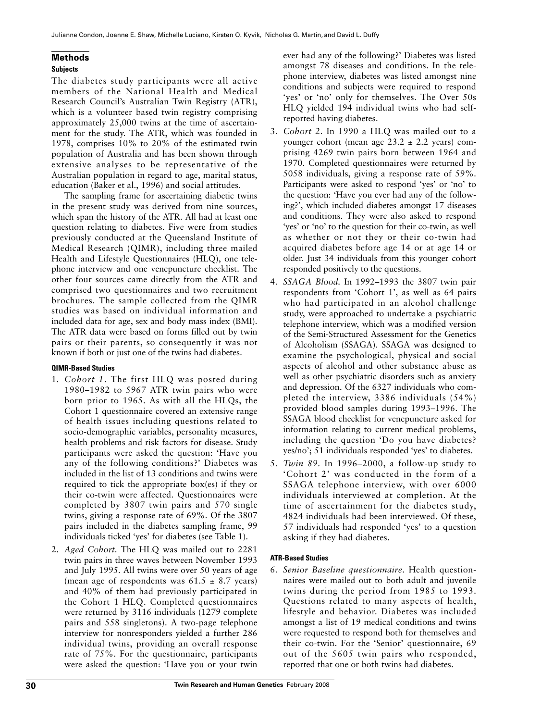# **Methods**

# **Subjects**

The diabetes study participants were all active members of the National Health and Medical Research Council's Australian Twin Registry (ATR), which is a volunteer based twin registry comprising approximately 25,000 twins at the time of ascertainment for the study. The ATR, which was founded in 1978, comprises 10% to 20% of the estimated twin population of Australia and has been shown through extensive analyses to be representative of the Australian population in regard to age, marital status, education (Baker et al., 1996) and social attitudes.

The sampling frame for ascertaining diabetic twins in the present study was derived from nine sources, which span the history of the ATR. All had at least one question relating to diabetes. Five were from studies previously conducted at the Queensland Institute of Medical Research (QIMR), including three mailed Health and Lifestyle Questionnaires (HLQ), one telephone interview and one venepuncture checklist. The other four sources came directly from the ATR and comprised two questionnaires and two recruitment brochures. The sample collected from the QIMR studies was based on individual information and included data for age, sex and body mass index (BMI). The ATR data were based on forms filled out by twin pairs or their parents, so consequently it was not known if both or just one of the twins had diabetes.

# **QIMR-Based Studies**

- 1. *Cohort 1*. The first HLQ was posted during 1980–1982 to 5967 ATR twin pairs who were born prior to 1965. As with all the HLQs, the Cohort 1 questionnaire covered an extensive range of health issues including questions related to socio-demographic variables, personality measures, health problems and risk factors for disease. Study participants were asked the question: 'Have you any of the following conditions?' Diabetes was included in the list of 13 conditions and twins were required to tick the appropriate box(es) if they or their co-twin were affected. Questionnaires were completed by 3807 twin pairs and 570 single twins, giving a response rate of 69%. Of the 3807 pairs included in the diabetes sampling frame, 99 individuals ticked 'yes' for diabetes (see Table 1).
- 2. *Aged Cohort.* The HLQ was mailed out to 2281 twin pairs in three waves between November 1993 and July 1995. All twins were over 50 years of age (mean age of respondents was  $61.5 \pm 8.7$  years) and 40% of them had previously participated in the Cohort 1 HLQ. Completed questionnaires were returned by 3116 individuals (1279 complete pairs and 558 singletons). A two-page telephone interview for nonresponders yielded a further 286 individual twins, providing an overall response rate of 75%. For the questionnaire, participants were asked the question: 'Have you or your twin

ever had any of the following?' Diabetes was listed amongst 78 diseases and conditions. In the telephone interview, diabetes was listed amongst nine conditions and subjects were required to respond 'yes' or 'no' only for themselves. The Over 50s HLQ yielded 194 individual twins who had selfreported having diabetes.

- 3. *Cohort 2*. In 1990 a HLQ was mailed out to a younger cohort (mean age  $23.2 \pm 2.2$  years) comprising 4269 twin pairs born between 1964 and 1970. Completed questionnaires were returned by 5058 individuals, giving a response rate of 59%. Participants were asked to respond 'yes' or 'no' to the question: 'Have you ever had any of the following?', which included diabetes amongst 17 diseases and conditions. They were also asked to respond 'yes' or 'no' to the question for their co-twin, as well as whether or not they or their co-twin had acquired diabetes before age 14 or at age 14 or older. Just 34 individuals from this younger cohort responded positively to the questions.
- 4. *SSAGA Blood.* In 1992–1993 the 3807 twin pair respondents from 'Cohort 1', as well as 64 pairs who had participated in an alcohol challenge study, were approached to undertake a psychiatric telephone interview, which was a modified version of the Semi-Structured Assessment for the Genetics of Alcoholism (SSAGA). SSAGA was designed to examine the psychological, physical and social aspects of alcohol and other substance abuse as well as other psychiatric disorders such as anxiety and depression. Of the 6327 individuals who completed the interview, 3386 individuals (54%) provided blood samples during 1993–1996. The SSAGA blood checklist for venepuncture asked for information relating to current medical problems, including the question 'Do you have diabetes? yes/no'; 51 individuals responded 'yes' to diabetes.
- 5. *Twin 89.* In 1996–2000, a follow-up study to 'Cohort 2' was conducted in the form of a SSAGA telephone interview, with over 6000 individuals interviewed at completion. At the time of ascertainment for the diabetes study, 4824 individuals had been interviewed. Of these, 57 individuals had responded 'yes' to a question asking if they had diabetes.

# **ATR-Based Studies**

6. *Senior Baseline questionnaire.* Health questionnaires were mailed out to both adult and juvenile twins during the period from 1985 to 1993. Questions related to many aspects of health, lifestyle and behavior. Diabetes was included amongst a list of 19 medical conditions and twins were requested to respond both for themselves and their co-twin. For the 'Senior' questionnaire, 69 out of the 5605 twin pairs who responded, reported that one or both twins had diabetes.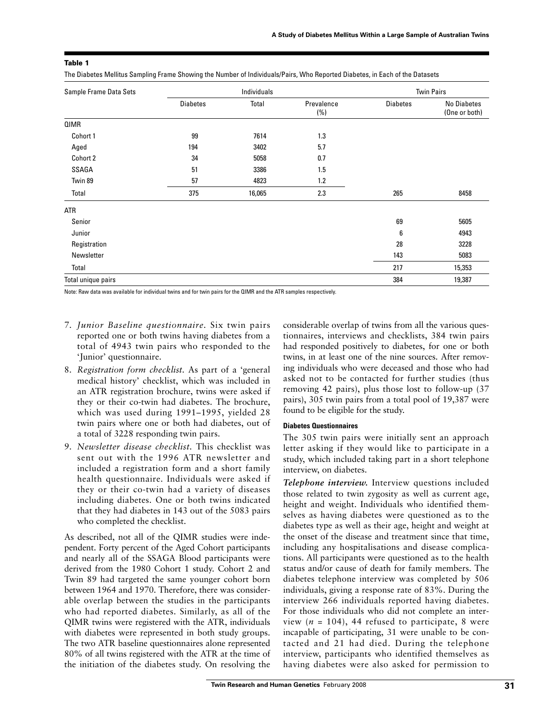#### **Table 1**

The Diabetes Mellitus Sampling Frame Showing the Number of Individuals/Pairs, Who Reported Diabetes, in Each of the Datasets

| Sample Frame Data Sets |                 | Individuals |                   |                 | <b>Twin Pairs</b>                   |
|------------------------|-----------------|-------------|-------------------|-----------------|-------------------------------------|
|                        | <b>Diabetes</b> | Total       | Prevalence<br>(%) | <b>Diabetes</b> | <b>No Diabetes</b><br>(One or both) |
| <b>QIMR</b>            |                 |             |                   |                 |                                     |
| Cohort 1               | 99              | 7614        | 1.3               |                 |                                     |
| Aged                   | 194             | 3402        | 5.7               |                 |                                     |
| Cohort 2               | 34              | 5058        | 0.7               |                 |                                     |
| SSAGA                  | 51              | 3386        | 1.5               |                 |                                     |
| Twin 89                | 57              | 4823        | 1.2               |                 |                                     |
| Total                  | 375             | 16,065      | 2.3               | 265             | 8458                                |
| ATR                    |                 |             |                   |                 |                                     |
| Senior                 |                 |             |                   | 69              | 5605                                |
| Junior                 |                 |             |                   | 6               | 4943                                |
| Registration           |                 |             |                   | 28              | 3228                                |
| Newsletter             |                 |             |                   | 143             | 5083                                |
| Total                  |                 |             |                   | 217             | 15,353                              |
| Total unique pairs     |                 |             |                   | 384             | 19,387                              |

Note: Raw data was available for individual twins and for twin pairs for the QIMR and the ATR samples respectively.

- 7. *Junior Baseline questionnaire.* Six twin pairs reported one or both twins having diabetes from a total of 4943 twin pairs who responded to the 'Junior' questionnaire.
- 8. *Registration form checklist.* As part of a 'general medical history' checklist, which was included in an ATR registration brochure, twins were asked if they or their co-twin had diabetes. The brochure, which was used during 1991–1995, yielded 28 twin pairs where one or both had diabetes, out of a total of 3228 responding twin pairs.
- 9. *Newsletter disease checklist.* This checklist was sent out with the 1996 ATR newsletter and included a registration form and a short family health questionnaire. Individuals were asked if they or their co-twin had a variety of diseases including diabetes. One or both twins indicated that they had diabetes in 143 out of the 5083 pairs who completed the checklist.

As described, not all of the QIMR studies were independent. Forty percent of the Aged Cohort participants and nearly all of the SSAGA Blood participants were derived from the 1980 Cohort 1 study. Cohort 2 and Twin 89 had targeted the same younger cohort born between 1964 and 1970. Therefore, there was considerable overlap between the studies in the participants who had reported diabetes. Similarly, as all of the QIMR twins were registered with the ATR, individuals with diabetes were represented in both study groups. The two ATR baseline questionnaires alone represented 80% of all twins registered with the ATR at the time of the initiation of the diabetes study. On resolving the considerable overlap of twins from all the various questionnaires, interviews and checklists, 384 twin pairs had responded positively to diabetes, for one or both twins, in at least one of the nine sources. After removing individuals who were deceased and those who had asked not to be contacted for further studies (thus removing 42 pairs), plus those lost to follow-up (37 pairs), 305 twin pairs from a total pool of 19,387 were found to be eligible for the study.

#### **Diabetes Questionnaires**

The 305 twin pairs were initially sent an approach letter asking if they would like to participate in a study, which included taking part in a short telephone interview, on diabetes.

*Telephone interview.* Interview questions included those related to twin zygosity as well as current age, height and weight. Individuals who identified themselves as having diabetes were questioned as to the diabetes type as well as their age, height and weight at the onset of the disease and treatment since that time, including any hospitalisations and disease complications. All participants were questioned as to the health status and/or cause of death for family members. The diabetes telephone interview was completed by 506 individuals, giving a response rate of 83%. During the interview 266 individuals reported having diabetes. For those individuals who did not complete an interview  $(n = 104)$ , 44 refused to participate, 8 were incapable of participating, 31 were unable to be contacted and 21 had died. During the telephone interview, participants who identified themselves as having diabetes were also asked for permission to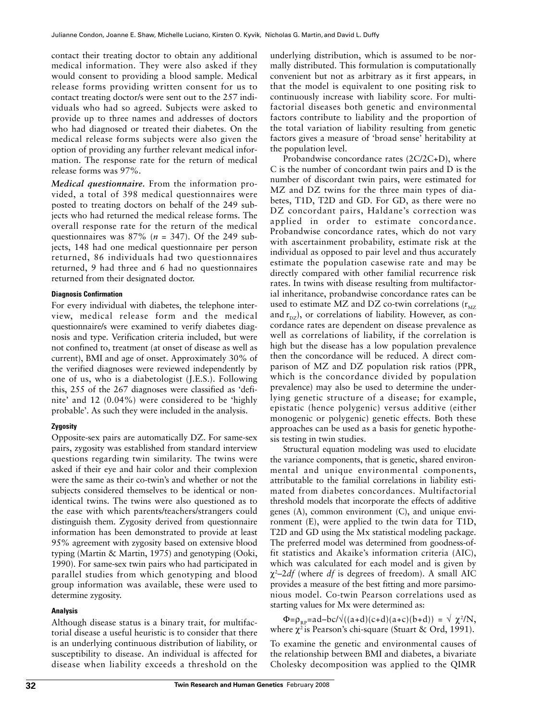contact their treating doctor to obtain any additional medical information. They were also asked if they would consent to providing a blood sample. Medical release forms providing written consent for us to contact treating doctor/s were sent out to the 257 individuals who had so agreed. Subjects were asked to provide up to three names and addresses of doctors who had diagnosed or treated their diabetes. On the medical release forms subjects were also given the option of providing any further relevant medical information. The response rate for the return of medical release forms was 97%.

*Medical questionnaire.* From the information provided, a total of 398 medical questionnaires were posted to treating doctors on behalf of the 249 subjects who had returned the medical release forms. The overall response rate for the return of the medical questionnaires was 87% (*n* = 347). Of the 249 subjects, 148 had one medical questionnaire per person returned, 86 individuals had two questionnaires returned, 9 had three and 6 had no questionnaires returned from their designated doctor.

#### **Diagnosis Confirmation**

For every individual with diabetes, the telephone interview, medical release form and the medical questionnaire/s were examined to verify diabetes diagnosis and type. Verification criteria included, but were not confined to, treatment (at onset of disease as well as current), BMI and age of onset. Approximately 30% of the verified diagnoses were reviewed independently by one of us, who is a diabetologist (J.E.S.). Following this, 255 of the 267 diagnoses were classified as 'definite' and 12 (0.04%) were considered to be 'highly probable'. As such they were included in the analysis.

#### **Zygosity**

Opposite-sex pairs are automatically DZ. For same-sex pairs, zygosity was established from standard interview questions regarding twin similarity. The twins were asked if their eye and hair color and their complexion were the same as their co-twin's and whether or not the subjects considered themselves to be identical or nonidentical twins. The twins were also questioned as to the ease with which parents/teachers/strangers could distinguish them. Zygosity derived from questionnaire information has been demonstrated to provide at least 95% agreement with zygosity based on extensive blood typing (Martin & Martin, 1975) and genotyping (Ooki, 1990). For same-sex twin pairs who had participated in parallel studies from which genotyping and blood group information was available, these were used to determine zygosity.

### **Analysis**

Although disease status is a binary trait, for multifactorial disease a useful heuristic is to consider that there is an underlying continuous distribution of liability, or susceptibility to disease. An individual is affected for disease when liability exceeds a threshold on the

underlying distribution, which is assumed to be normally distributed. This formulation is computationally convenient but not as arbitrary as it first appears, in that the model is equivalent to one positing risk to continuously increase with liability score. For multifactorial diseases both genetic and environmental factors contribute to liability and the proportion of the total variation of liability resulting from genetic factors gives a measure of 'broad sense' heritability at the population level.

Probandwise concordance rates (2C/2C+D), where C is the number of concordant twin pairs and D is the number of discordant twin pairs, were estimated for MZ and DZ twins for the three main types of diabetes, T1D, T2D and GD. For GD, as there were no DZ concordant pairs, Haldane's correction was applied in order to estimate concordance. Probandwise concordance rates, which do not vary with ascertainment probability, estimate risk at the individual as opposed to pair level and thus accurately estimate the population casewise rate and may be directly compared with other familial recurrence risk rates. In twins with disease resulting from multifactorial inheritance, probandwise concordance rates can be used to estimate MZ and DZ co-twin correlations  $(r_{MZ})$ and  $r_{\text{DZ}}$ ), or correlations of liability. However, as concordance rates are dependent on disease prevalence as well as correlations of liability, if the correlation is high but the disease has a low population prevalence then the concordance will be reduced. A direct comparison of MZ and DZ population risk ratios (PPR, which is the concordance divided by population prevalence) may also be used to determine the underlying genetic structure of a disease; for example, epistatic (hence polygenic) versus additive (either monogenic or polygenic) genetic effects. Both these approaches can be used as a basis for genetic hypothesis testing in twin studies.

Structural equation modeling was used to elucidate the variance components, that is genetic, shared environmental and unique environmental components, attributable to the familial correlations in liability estimated from diabetes concordances. Multifactorial threshold models that incorporate the effects of additive genes (A), common environment (C), and unique environment (E), were applied to the twin data for T1D, T2D and GD using the Mx statistical modeling package. The preferred model was determined from goodness-offit statistics and Akaike's information criteria (AIC), which was calculated for each model and is given by χ2 –2*df* (where *df* is degrees of freedom). A small AIC provides a measure of the best fitting and more parsimonious model. Co-twin Pearson correlations used as starting values for Mx were determined as:

 $\Phi = \rho_{RP} = ad - bc / \sqrt{(a+d)(c+d)(a+c)(b+d)} = \sqrt{\chi^2/N}$ , where  $\chi^2$  is Pearson's chi-square (Stuart & Ord, 1991).

To examine the genetic and environmental causes of the relationship between BMI and diabetes, a bivariate Cholesky decomposition was applied to the QIMR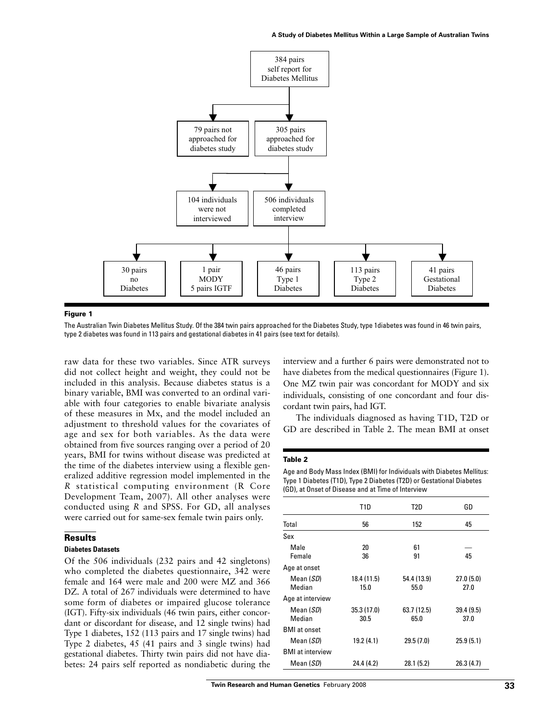

**Figure 1**

The Australian Twin Diabetes Mellitus Study. Of the 384 twin pairs approached for the Diabetes Study, type 1diabetes was found in 46 twin pairs, type 2 diabetes was found in 113 pairs and gestational diabetes in 41 pairs (see text for details).

raw data for these two variables. Since ATR surveys did not collect height and weight, they could not be included in this analysis. Because diabetes status is a binary variable, BMI was converted to an ordinal variable with four categories to enable bivariate analysis of these measures in Mx, and the model included an adjustment to threshold values for the covariates of age and sex for both variables. As the data were obtained from five sources ranging over a period of 20 years, BMI for twins without disease was predicted at the time of the diabetes interview using a flexible generalized additive regression model implemented in the *R* statistical computing environment (R Core Development Team, 2007). All other analyses were conducted using *R* and SPSS. For GD, all analyses were carried out for same-sex female twin pairs only.

## **Results**

#### **Diabetes Datasets**

Of the 506 individuals (232 pairs and 42 singletons) who completed the diabetes questionnaire, 342 were female and 164 were male and 200 were MZ and 366 DZ. A total of 267 individuals were determined to have some form of diabetes or impaired glucose tolerance (IGT). Fifty-six individuals (46 twin pairs, either concordant or discordant for disease, and 12 single twins) had Type 1 diabetes, 152 (113 pairs and 17 single twins) had Type 2 diabetes, 45 (41 pairs and 3 single twins) had gestational diabetes. Thirty twin pairs did not have diabetes: 24 pairs self reported as nondiabetic during the interview and a further 6 pairs were demonstrated not to have diabetes from the medical questionnaires (Figure 1). One MZ twin pair was concordant for MODY and six individuals, consisting of one concordant and four discordant twin pairs, had IGT.

The individuals diagnosed as having T1D, T2D or GD are described in Table 2. The mean BMI at onset

#### **Table 2**

Age and Body Mass Index (BMI) for Individuals with Diabetes Mellitus: Type 1 Diabetes (T1D), Type 2 Diabetes (T2D) or Gestational Diabetes (GD), at Onset of Disease and at Time of Interview

| T <sub>1</sub> D    | T <sub>2</sub> D    | GD                |
|---------------------|---------------------|-------------------|
| 56                  | 152                 | 45                |
|                     |                     |                   |
| 20<br>36            | 61<br>91            | 45                |
|                     |                     |                   |
| 18.4 (11.5)<br>15.0 | 54.4 (13.9)<br>55.0 | 27.0(5.0)<br>27.0 |
|                     |                     |                   |
| 35.3(17.0)<br>30.5  | 63.7 (12.5)<br>65.0 | 39.4(9.5)<br>37.0 |
|                     |                     |                   |
| 19.2 (4.1)          | 29.5(7.0)           | 25.9(5.1)         |
|                     |                     |                   |
| 24.4 (4.2)          | 28.1 (5.2)          | 26.3 (4.7)        |
|                     |                     |                   |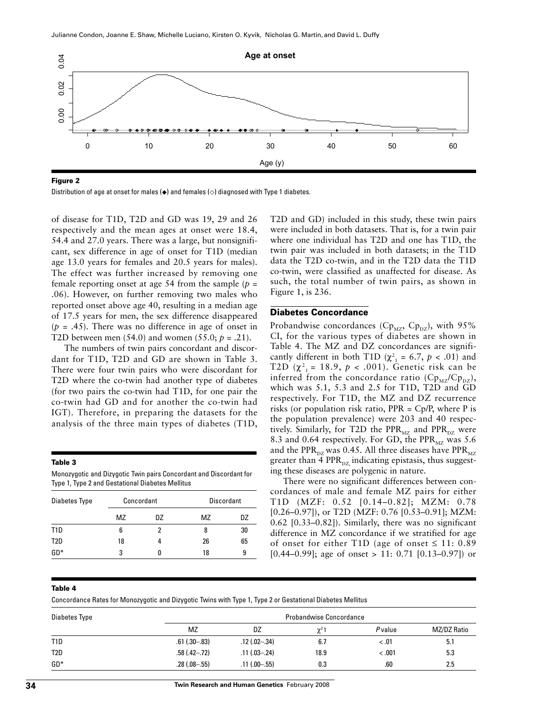

**Figure 2**

Distribution of age at onset for males  $(\bullet)$  and females  $(\diamond)$  diagnosed with Type 1 diabetes.

of disease for T1D, T2D and GD was 19, 29 and 26 respectively and the mean ages at onset were 18.4, 54.4 and 27.0 years. There was a large, but nonsignificant, sex difference in age of onset for T1D (median age 13.0 years for females and 20.5 years for males). The effect was further increased by removing one female reporting onset at age 54 from the sample  $(p =$ .06). However, on further removing two males who reported onset above age 40, resulting in a median age of 17.5 years for men, the sex difference disappeared  $(p = .45)$ . There was no difference in age of onset in T2D between men (54.0) and women (55.0;  $p = .21$ ).

The numbers of twin pairs concordant and discordant for T1D, T2D and GD are shown in Table 3. There were four twin pairs who were discordant for T2D where the co-twin had another type of diabetes (for two pairs the co-twin had T1D, for one pair the co-twin had GD and for another the co-twin had IGT). Therefore, in preparing the datasets for the analysis of the three main types of diabetes (T1D,

#### **Table 3**

Monozygotic and Dizygotic Twin pairs Concordant and Discordant for Type 1, Type 2 and Gestational Diabetes Mellitus

| Diabetes Type    | Concordant |    | <b>Discordant</b> |    |
|------------------|------------|----|-------------------|----|
|                  | ΜZ         | DZ | ΜZ                | DZ |
| T <sub>1</sub> D | 6          |    | 8                 | 30 |
| T <sub>2</sub> D | 18         |    | 26                | 65 |
| $GD*$            | 3          |    | 18                | 9  |

T2D and GD) included in this study, these twin pairs were included in both datasets. That is, for a twin pair where one individual has T2D and one has T1D, the twin pair was included in both datasets; in the T1D data the T2D co-twin, and in the T2D data the T1D co-twin, were classified as unaffected for disease. As such, the total number of twin pairs, as shown in Figure 1, is 236.

#### **Diabetes Concordance**

Probandwise concordances ( $Cp_{MZ}$ ,  $Cp_{DZ}$ ), with 95% CI, for the various types of diabetes are shown in Table 4. The MZ and DZ concordances are significantly different in both T1D ( $\chi^2$ <sub>1</sub> = 6.7,  $p < .01$ ) and T2D ( $\chi^2_{1}$  = 18.9,  $p < .001$ ). Genetic risk can be inferred from the concordance ratio  $(Cp_{\text{MZ}}/Cp_{\text{DZ}})$ , which was 5.1, 5.3 and 2.5 for T1D, T2D and GD respectively. For T1D, the MZ and DZ recurrence risks (or population risk ratio, PPR = Cp/P, where P is the population prevalence) were 203 and 40 respectively. Similarly, for T2D the  $PPR_{MZ}$  and  $PPR_{DZ}$  were 8.3 and 0.64 respectively. For GD, the PPR $_{\text{MZ}}$  was 5.6 and the PPR<sub>DZ</sub> was 0.45. All three diseases have PPR<sub>MZ</sub> greater than 4  $PPR<sub>DZ</sub>$  indicating epistasis, thus suggesting these diseases are polygenic in nature.

There were no significant differences between concordances of male and female MZ pairs for either T1D (MZF: 0.52 [0.14–0.82]; MZM: 0.78 [0.26–0.97]), or T2D (MZF: 0.76 [0.53–0.91]; MZM: 0.62 [0.33–0.82]). Similarly, there was no significant difference in MZ concordance if we stratified for age of onset for either T1D (age of onset  $\leq$  11: 0.89  $[0.44-0.99]$ ; age of onset > 11: 0.71  $[0.13-0.97]$  or

#### **Table 4**

Concordance Rates for Monozygotic and Dizygotic Twins with Type 1, Type 2 or Gestational Diabetes Mellitus

| Diabetes Type    |                |                | <b>Probandwise Concordance</b> |                |             |
|------------------|----------------|----------------|--------------------------------|----------------|-------------|
|                  | MZ             | DZ             | $\gamma^2$ 1                   | <i>P</i> value | MZ/DZ Ratio |
| T <sub>1</sub> D | $.61(.30-.83)$ | $.12(.02-.34)$ | 6.7                            | < .01          | 5.1         |
| T2D              | $.58(.42-.72)$ | $.11(.03-.24)$ | 18.9                           | < .001         | 5.3         |
| $GD*$            | $.28(.08-.55)$ | $.11(.00-.55)$ | 0.3                            | .60            | 2.5         |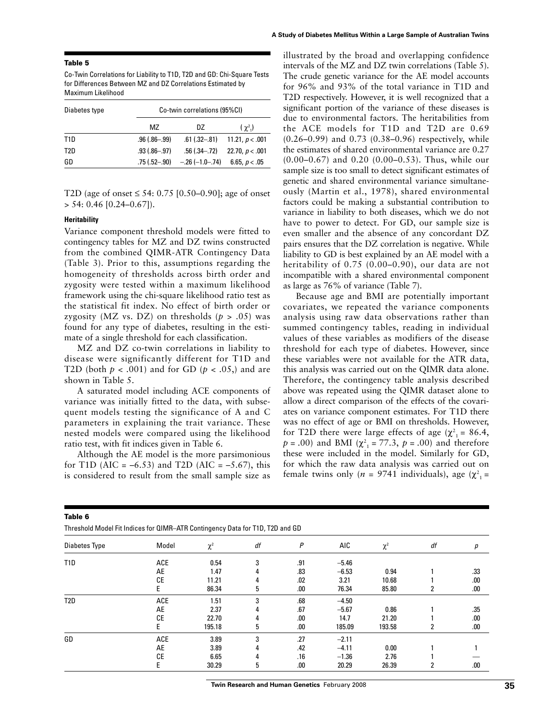#### **Table 5**

Co-Twin Correlations for Liability to T1D, T2D and GD: Chi-Square Tests for Differences Between MZ and DZ Correlations Estimated by Maximum Likelihood

| Diabetes type    | Co-twin correlations (95%CI) |                  |                   |  |  |
|------------------|------------------------------|------------------|-------------------|--|--|
|                  | M7                           | DZ.              | $(\chi^2)$        |  |  |
| T <sub>1</sub> D | $.96(.86-.99)$               | $.61(.32-.81)$   | 11.21, $p < .001$ |  |  |
| T <sub>2</sub> D | $.93(.86-.97)$               | $.56(.34-.72)$   | 22.70, $p < .001$ |  |  |
| GD               | $.75(.52-.90)$               | $-.26(-1.0-.74)$ | 6.65, $p < .05$   |  |  |

T2D (age of onset ≤ 54: 0.75 [0.50–0.90]; age of onset  $> 54: 0.46$  [0.24-0.67]).

#### **Heritability**

Variance component threshold models were fitted to contingency tables for MZ and DZ twins constructed from the combined QIMR-ATR Contingency Data (Table 3). Prior to this, assumptions regarding the homogeneity of thresholds across birth order and zygosity were tested within a maximum likelihood framework using the chi-square likelihood ratio test as the statistical fit index. No effect of birth order or zygosity (MZ vs. DZ) on thresholds  $(p > .05)$  was found for any type of diabetes, resulting in the estimate of a single threshold for each classification.

MZ and DZ co-twin correlations in liability to disease were significantly different for T1D and T2D (both  $p < .001$ ) and for GD ( $p < .05$ ) and are shown in Table 5.

A saturated model including ACE components of variance was initially fitted to the data, with subsequent models testing the significance of A and C parameters in explaining the trait variance. These nested models were compared using the likelihood ratio test, with fit indices given in Table 6.

Although the AE model is the more parsimonious for T1D (AIC =  $-6.53$ ) and T2D (AIC =  $-5.67$ ), this is considered to result from the small sample size as illustrated by the broad and overlapping confidence intervals of the MZ and DZ twin correlations (Table 5). The crude genetic variance for the AE model accounts for 96% and 93% of the total variance in T1D and T2D respectively. However, it is well recognized that a significant portion of the variance of these diseases is due to environmental factors. The heritabilities from the ACE models for T1D and T2D are 0.69 (0.26–0.99) and 0.73 (0.38–0.96) respectively, while the estimates of shared environmental variance are 0.27 (0.00–0.67) and 0.20 (0.00–0.53). Thus, while our sample size is too small to detect significant estimates of genetic and shared environmental variance simultaneously (Martin et al., 1978), shared environmental factors could be making a substantial contribution to variance in liability to both diseases, which we do not have to power to detect. For GD, our sample size is even smaller and the absence of any concordant DZ pairs ensures that the DZ correlation is negative. While liability to GD is best explained by an AE model with a heritability of 0.75 (0.00–0.90), our data are not incompatible with a shared environmental component as large as 76% of variance (Table 7).

Because age and BMI are potentially important covariates, we repeated the variance components analysis using raw data observations rather than summed contingency tables, reading in individual values of these variables as modifiers of the disease threshold for each type of diabetes. However, since these variables were not available for the ATR data, this analysis was carried out on the QIMR data alone. Therefore, the contingency table analysis described above was repeated using the QIMR dataset alone to allow a direct comparison of the effects of the covariates on variance component estimates. For T1D there was no effect of age or BMI on thresholds. However, for T2D there were large effects of age ( $\chi^2$ <sub>1</sub> = 86.4,  $p = .00$ ) and BMI ( $χ²₁ = 77.3, p = .00$ ) and therefore these were included in the model. Similarly for GD, for which the raw data analysis was carried out on female twins only (*n* = 9741 individuals), age ( $\chi^2$ <sub>1</sub> =

| ۰,<br>×<br>۰,<br>. .<br>× | ۰.<br>× |
|---------------------------|---------|
|---------------------------|---------|

| THESHOR MODEL FILTHQICES TOF QHVIN-ATTN CONDITION DATA TOF FID, TZD AND OD |       |          |    |     |         |          |    |     |
|----------------------------------------------------------------------------|-------|----------|----|-----|---------|----------|----|-----|
| Diabetes Type                                                              | Model | $\chi^2$ | df | P   | AIC     | $\chi^2$ | df | р   |
| T <sub>1</sub> D                                                           | ACE   | 0.54     | 3  | .91 | $-5.46$ |          |    |     |
|                                                                            | AE    | 1.47     |    | .83 | $-6.53$ | 0.94     |    | .33 |
|                                                                            | CЕ    | 11.21    | 4  | .02 | 3.21    | 10.68    |    | .00 |
|                                                                            |       | 86.34    | 5  | .00 | 76.34   | 85.80    |    | .00 |
| T <sub>2</sub> D                                                           | ACE   | 1.51     | 3  | .68 | $-4.50$ |          |    |     |
|                                                                            | AE    | 2.37     |    | .67 | $-5.67$ | 0.86     |    | .35 |
|                                                                            | CЕ    | 22.70    | 4  | .00 | 14.7    | 21.20    |    | .00 |
|                                                                            |       | 195.18   | 5  | .00 | 185.09  | 193.58   |    | .00 |
| GD                                                                         | ACE   | 3.89     | 3  | .27 | $-2.11$ |          |    |     |
|                                                                            | AE    | 3.89     | 4  | .42 | $-4.11$ | 0.00     |    |     |
|                                                                            | СE    | 6.65     | 4  | .16 | $-1.36$ | 2.76     |    |     |
|                                                                            | E     | 30.29    | 5  | .00 | 20.29   | 26.39    |    | .00 |

Threshold Model Fit Indices for QIMR–ATR Contingency Data for T1D, T2D and GD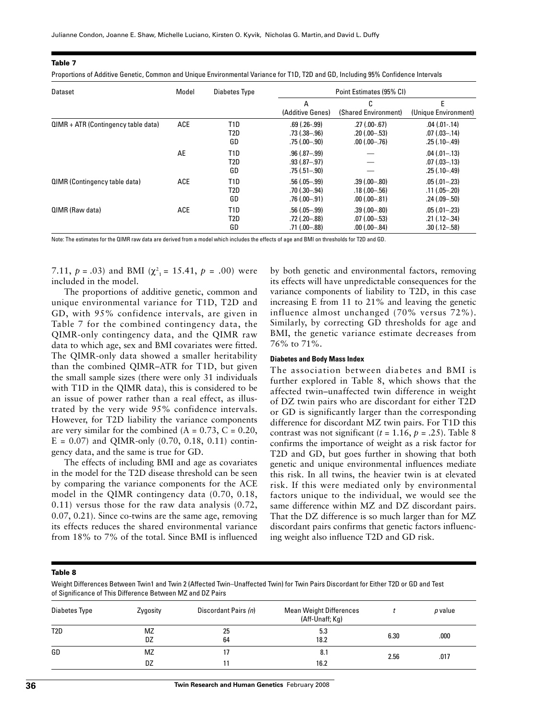**Table 7**

| Proportions of Additive Genetic, Common and Unique Environmental Variance for T1D, T2D and GD, Including 95% Confidence Intervals |  |  |  |
|-----------------------------------------------------------------------------------------------------------------------------------|--|--|--|
|-----------------------------------------------------------------------------------------------------------------------------------|--|--|--|

| Dataset                              | Model      | Diabetes Type                 | Point Estimates (95% CI)                                |                                                       |                                                         |  |
|--------------------------------------|------------|-------------------------------|---------------------------------------------------------|-------------------------------------------------------|---------------------------------------------------------|--|
|                                      |            |                               | А<br>(Additive Genes)                                   | C<br>(Shared Environment)                             | E<br>(Unique Environment)                               |  |
| $QIMR + ATR (Continency table data)$ | <b>ACE</b> | T <sub>1</sub> D<br>T2D<br>GD | $.69$ $(.26-.99)$<br>$.73(.38 - .96)$<br>$.75(.00-.90)$ | $.27(.00-.67)$<br>$.20(.00-.53)$<br>$.00(.00-.76)$    | $.04$ $(.01-.14)$<br>$.07(.03-.14)$<br>$.25(.10-.49)$   |  |
|                                      | AE         | T <sub>1</sub> D<br>T2D<br>GD | $.96(.87 - .99)$<br>$.93(.87 - .97)$<br>$.75(.51-.90)$  |                                                       | $.04$ $(.01 - .13)$<br>$.07(.03-.13)$<br>$.25(.10-.49)$ |  |
| QIMR (Contingency table data)        | ACE        | T <sub>1</sub> D<br>T2D<br>GD | $.56(.05-.99)$<br>$.70(.30-.94)$<br>$.76(.00-.91)$      | $.39(0 - .80)$<br>$.18(0.00 - .56)$<br>$.00(.00-.81)$ | $.05(.01 - .23)$<br>$.11(.05-.20)$<br>$.24(.09-.50)$    |  |
| QIMR (Raw data)                      | <b>ACE</b> | T <sub>1</sub> D<br>T2D<br>GD | $.56(.05-.99)$<br>$.72(0-.88)$<br>$.71(0.0 - 0.88)$     | $.39(0.00 - .80)$<br>$.07(.00-.53)$<br>$.00(.00-.84)$ | $.05(.01 - .23)$<br>$.21(.12-.34)$<br>$.30(.12-.58)$    |  |

Note: The estimates for the QIMR raw data are derived from a model which includes the effects of age and BMI on thresholds for T2D and GD.

7.11,  $p = .03$ ) and BMI ( $\chi^2$ <sub>1</sub> = 15.41,  $p = .00$ ) were included in the model.

The proportions of additive genetic, common and unique environmental variance for T1D, T2D and GD, with 95% confidence intervals, are given in Table 7 for the combined contingency data, the QIMR-only contingency data, and the QIMR raw data to which age, sex and BMI covariates were fitted. The QIMR-only data showed a smaller heritability than the combined QIMR–ATR for T1D, but given the small sample sizes (there were only 31 individuals with T1D in the QIMR data), this is considered to be an issue of power rather than a real effect, as illustrated by the very wide 95% confidence intervals. However, for T2D liability the variance components are very similar for the combined  $(A = 0.73, C = 0.20,$  $E = 0.07$  and OIMR-only  $(0.70, 0.18, 0.11)$  contingency data, and the same is true for GD.

The effects of including BMI and age as covariates in the model for the T2D disease threshold can be seen by comparing the variance components for the ACE model in the QIMR contingency data (0.70, 0.18, 0.11) versus those for the raw data analysis (0.72, 0.07, 0.21). Since co-twins are the same age, removing its effects reduces the shared environmental variance from 18% to 7% of the total. Since BMI is influenced

by both genetic and environmental factors, removing its effects will have unpredictable consequences for the variance components of liability to T2D, in this case increasing E from 11 to 21% and leaving the genetic influence almost unchanged (70% versus 72%). Similarly, by correcting GD thresholds for age and BMI, the genetic variance estimate decreases from 76% to 71%.

#### **Diabetes and Body Mass Index**

The association between diabetes and BMI is further explored in Table 8, which shows that the affected twin–unaffected twin difference in weight of DZ twin pairs who are discordant for either T2D or GD is significantly larger than the corresponding difference for discordant MZ twin pairs. For T1D this contrast was not significant  $(t = 1.16, p = .25)$ . Table 8 confirms the importance of weight as a risk factor for T2D and GD, but goes further in showing that both genetic and unique environmental influences mediate this risk. In all twins, the heavier twin is at elevated risk. If this were mediated only by environmental factors unique to the individual, we would see the same difference within MZ and DZ discordant pairs. That the DZ difference is so much larger than for MZ discordant pairs confirms that genetic factors influencing weight also influence T2D and GD risk.

#### **Table 8**

Weight Differences Between Twin1 and Twin 2 (Affected Twin–Unaffected Twin) for Twin Pairs Discordant for Either T2D or GD and Test of Significance of This Difference Between MZ and DZ Pairs

| Diabetes Type | Zygosity | Discordant Pairs (n) | <b>Mean Weight Differences</b><br>(Aff-Unaff; Kg) |      | p value |
|---------------|----------|----------------------|---------------------------------------------------|------|---------|
| T2D           | MZ<br>DZ | 25<br>64             | 5.3<br>18.2                                       | 6.30 | .000    |
| GD            | MZ<br>DZ |                      | 8.1<br>16.2                                       | 2.56 | .017    |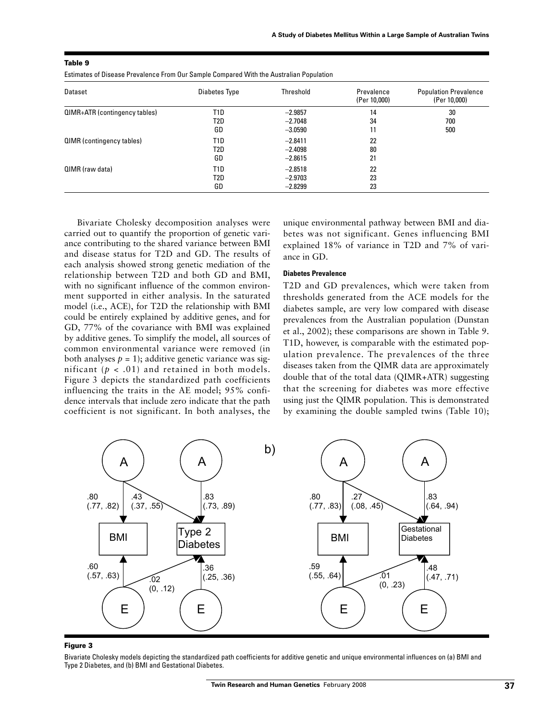#### **Table 9**

Estimates of Disease Prevalence From Our Sample Compared With the Australian Population

| Dataset                          | Diabetes Type    | Threshold | Prevalence<br>(Per 10,000) | <b>Population Prevalence</b><br>(Per 10,000) |
|----------------------------------|------------------|-----------|----------------------------|----------------------------------------------|
| QIMR+ATR (contingency tables)    | T1D              | $-2.9857$ | 14                         | 30                                           |
|                                  | T2D              | $-2.7048$ | 34                         | 700                                          |
|                                  | GD               | $-3.0590$ | 11                         | 500                                          |
| <b>QIMR</b> (contingency tables) | T <sub>1</sub> D | $-2.8411$ | 22                         |                                              |
|                                  | T2D              | $-2.4098$ | 80                         |                                              |
|                                  | GD               | $-2.8615$ | 21                         |                                              |
| QIMR (raw data)                  | T1D              | $-2.8518$ | 22                         |                                              |
|                                  | T2D              | $-2.9703$ | 23                         |                                              |
|                                  | GD               | $-2.8299$ | 23                         |                                              |

Bivariate Cholesky decomposition analyses were carried out to quantify the proportion of genetic variance contributing to the shared variance between BMI and disease status for T2D and GD. The results of each analysis showed strong genetic mediation of the relationship between T2D and both GD and BMI, with no significant influence of the common environment supported in either analysis. In the saturated model (i.e., ACE), for T2D the relationship with BMI could be entirely explained by additive genes, and for GD, 77% of the covariance with BMI was explained by additive genes. To simplify the model, all sources of common environmental variance were removed (in both analyses  $p = 1$ ); additive genetic variance was significant  $(p < .01)$  and retained in both models. Figure 3 depicts the standardized path coefficients influencing the traits in the AE model; 95% confidence intervals that include zero indicate that the path coefficient is not significant. In both analyses, the

unique environmental pathway between BMI and diabetes was not significant. Genes influencing BMI explained 18% of variance in T2D and 7% of variance in GD.

#### **Diabetes Prevalence**

T2D and GD prevalences, which were taken from thresholds generated from the ACE models for the diabetes sample, are very low compared with disease prevalences from the Australian population (Dunstan et al., 2002); these comparisons are shown in Table 9. T1D, however, is comparable with the estimated population prevalence. The prevalences of the three diseases taken from the QIMR data are approximately double that of the total data (QIMR+ATR) suggesting that the screening for diabetes was more effective using just the QIMR population. This is demonstrated by examining the double sampled twins (Table 10);



#### **Figure 3**

Bivariate Cholesky models depicting the standardized path coefficients for additive genetic and unique environmental influences on (a) BMI and Type 2 Diabetes, and (b) BMI and Gestational Diabetes.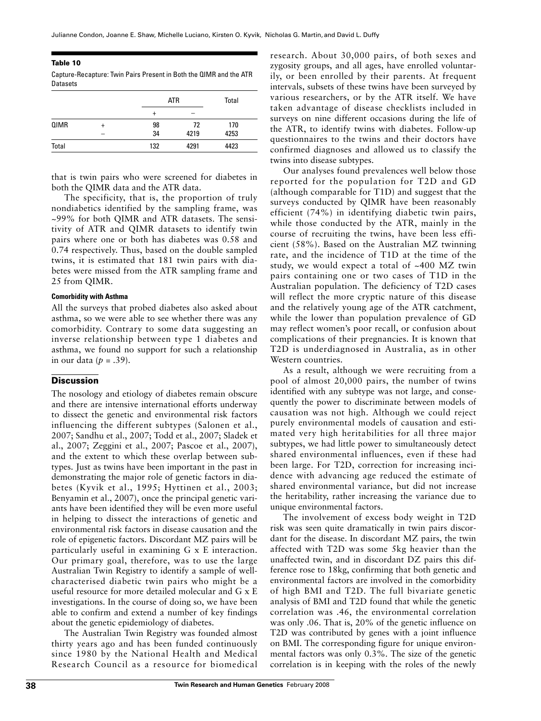| Table 10                                                           |  |
|--------------------------------------------------------------------|--|
| Capture-Recapture: Twin Pairs Present in Both the QIMR and the ATR |  |
| Datasets                                                           |  |
|                                                                    |  |

|             | ATR             |      | Total |
|-------------|-----------------|------|-------|
|             | $^{\mathrm{+}}$ | -    |       |
| <b>QIMR</b> | 98              | 72   | 170   |
|             | 34              | 4219 | 4253  |
| Total       | 132             | 4291 | 4423  |
|             |                 |      |       |

that is twin pairs who were screened for diabetes in both the QIMR data and the ATR data.

The specificity, that is, the proportion of truly nondiabetics identified by the sampling frame, was ~99% for both QIMR and ATR datasets. The sensitivity of ATR and QIMR datasets to identify twin pairs where one or both has diabetes was 0.58 and 0.74 respectively. Thus, based on the double sampled twins, it is estimated that 181 twin pairs with diabetes were missed from the ATR sampling frame and 25 from QIMR.

#### **Comorbidity with Asthma**

All the surveys that probed diabetes also asked about asthma, so we were able to see whether there was any comorbidity. Contrary to some data suggesting an inverse relationship between type 1 diabetes and asthma, we found no support for such a relationship in our data (*p* = .39).

## **Discussion**

The nosology and etiology of diabetes remain obscure and there are intensive international efforts underway to dissect the genetic and environmental risk factors influencing the different subtypes (Salonen et al., 2007; Sandhu et al., 2007; Todd et al., 2007; Sladek et al., 2007; Zeggini et al., 2007; Pascoe et al., 2007), and the extent to which these overlap between subtypes. Just as twins have been important in the past in demonstrating the major role of genetic factors in diabetes (Kyvik et al., 1995; Hyttinen et al., 2003; Benyamin et al., 2007), once the principal genetic variants have been identified they will be even more useful in helping to dissect the interactions of genetic and environmental risk factors in disease causation and the role of epigenetic factors. Discordant MZ pairs will be particularly useful in examining G x E interaction. Our primary goal, therefore, was to use the large Australian Twin Registry to identify a sample of wellcharacterised diabetic twin pairs who might be a useful resource for more detailed molecular and G x E investigations. In the course of doing so, we have been able to confirm and extend a number of key findings about the genetic epidemiology of diabetes.

The Australian Twin Registry was founded almost thirty years ago and has been funded continuously since 1980 by the National Health and Medical Research Council as a resource for biomedical research. About 30,000 pairs, of both sexes and zygosity groups, and all ages, have enrolled voluntarily, or been enrolled by their parents. At frequent intervals, subsets of these twins have been surveyed by various researchers, or by the ATR itself. We have taken advantage of disease checklists included in surveys on nine different occasions during the life of the ATR, to identify twins with diabetes. Follow-up questionnaires to the twins and their doctors have confirmed diagnoses and allowed us to classify the twins into disease subtypes.

Our analyses found prevalences well below those reported for the population for T2D and GD (although comparable for T1D) and suggest that the surveys conducted by QIMR have been reasonably efficient (74%) in identifying diabetic twin pairs, while those conducted by the ATR, mainly in the course of recruiting the twins, have been less efficient (58%). Based on the Australian MZ twinning rate, and the incidence of T1D at the time of the study, we would expect a total of ~400 MZ twin pairs containing one or two cases of T1D in the Australian population. The deficiency of T2D cases will reflect the more cryptic nature of this disease and the relatively young age of the ATR catchment, while the lower than population prevalence of GD may reflect women's poor recall, or confusion about complications of their pregnancies. It is known that T2D is underdiagnosed in Australia, as in other Western countries.

As a result, although we were recruiting from a pool of almost 20,000 pairs, the number of twins identified with any subtype was not large, and consequently the power to discriminate between models of causation was not high. Although we could reject purely environmental models of causation and estimated very high heritabilities for all three major subtypes, we had little power to simultaneously detect shared environmental influences, even if these had been large. For T2D, correction for increasing incidence with advancing age reduced the estimate of shared environmental variance, but did not increase the heritability, rather increasing the variance due to unique environmental factors.

The involvement of excess body weight in T2D risk was seen quite dramatically in twin pairs discordant for the disease. In discordant MZ pairs, the twin affected with T2D was some 5kg heavier than the unaffected twin, and in discordant DZ pairs this difference rose to 18kg, confirming that both genetic and environmental factors are involved in the comorbidity of high BMI and T2D. The full bivariate genetic analysis of BMI and T2D found that while the genetic correlation was .46, the environmental correlation was only .06. That is, 20% of the genetic influence on T2D was contributed by genes with a joint influence on BMI. The corresponding figure for unique environmental factors was only 0.3%. The size of the genetic correlation is in keeping with the roles of the newly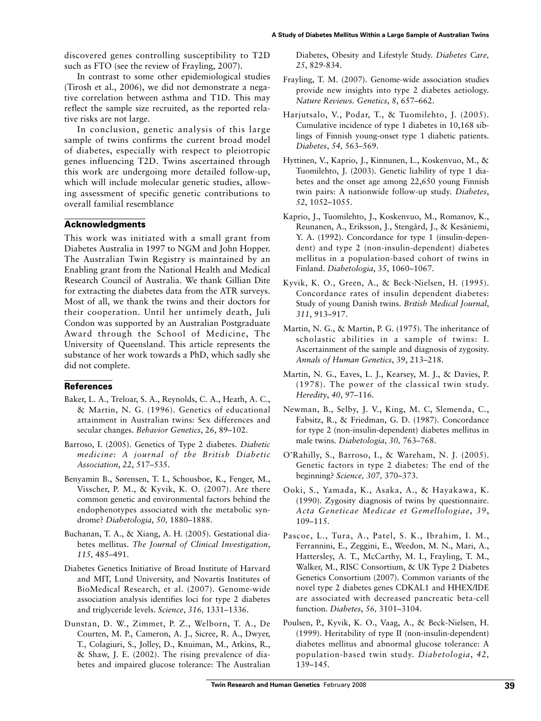#### **A Study of Diabetes Mellitus Within a Large Sample of Australian Twins**

discovered genes controlling susceptibility to T2D such as FTO (see the review of Frayling, 2007).

In contrast to some other epidemiological studies (Tirosh et al., 2006), we did not demonstrate a negative correlation between asthma and T1D. This may reflect the sample size recruited, as the reported relative risks are not large.

In conclusion, genetic analysis of this large sample of twins confirms the current broad model of diabetes, especially with respect to pleiotropic genes influencing T2D. Twins ascertained through this work are undergoing more detailed follow-up, which will include molecular genetic studies, allowing assessment of specific genetic contributions to overall familial resemblance

# **Acknowledgments**

This work was initiated with a small grant from Diabetes Australia in 1997 to NGM and John Hopper. The Australian Twin Registry is maintained by an Enabling grant from the National Health and Medical Research Council of Australia. We thank Gillian Dite for extracting the diabetes data from the ATR surveys. Most of all, we thank the twins and their doctors for their cooperation. Until her untimely death, Juli Condon was supported by an Australian Postgraduate Award through the School of Medicine, The University of Queensland. This article represents the substance of her work towards a PhD, which sadly she did not complete.

#### **References**

- Baker, L. A., Treloar, S. A., Reynolds, C. A., Heath, A. C., & Martin, N. G. (1996). Genetics of educational attainment in Australian twins: Sex differences and secular changes. *Behavior Genetics*, 26, 89–102.
- Barroso, I. (2005). Genetics of Type 2 diabetes. *Diabetic medicine: A journal of the British Diabetic Association*, *22*, 517–535.
- Benyamin B., Sørensen, T. I., Schousboe, K., Fenger, M., Visscher, P. M., & Kyvik, K. O. (2007). Are there common genetic and environmental factors behind the endophenotypes associated with the metabolic syndrome? *Diabetologia*, *50,* 1880–1888.
- Buchanan, T. A., & Xiang, A. H. (2005). Gestational diabetes mellitus. *The Journal of Clinical Investigation*, *115,* 485–491.
- Diabetes Genetics Initiative of Broad Institute of Harvard and MIT, Lund University, and Novartis Institutes of BioMedical Research, et al. (2007). Genome-wide association analysis identifies loci for type 2 diabetes and triglyceride levels. *Science*, *316,* 1331–1336.
- Dunstan, D. W., Zimmet, P. Z., Welborn, T. A., De Courten, M. P., Cameron, A. J., Sicree, R. A., Dwyer, T., Colagiuri, S., Jolley, D., Knuiman, M., Atkins, R., & Shaw, J. E. (2002). The rising prevalence of diabetes and impaired glucose tolerance: The Australian

Diabetes, Obesity and Lifestyle Study. *Diabetes Care, 25*, 829-834.

- Frayling, T. M. (2007). Genome-wide association studies provide new insights into type 2 diabetes aetiology. *Nature Reviews. Genetics*, *8*, 657–662.
- Harjutsalo, V., Podar, T., & Tuomilehto, J. (2005). Cumulative incidence of type 1 diabetes in 10,168 siblings of Finnish young-onset type 1 diabetic patients. *Diabetes*, *54,* 563–569.
- Hyttinen, V., Kaprio, J., Kinnunen, L., Koskenvuo, M., & Tuomilehto, J. (2003). Genetic liability of type 1 diabetes and the onset age among 22,650 young Finnish twin pairs: A nationwide follow-up study. *Diabetes*, *52*, 1052–1055.
- Kaprio, J., Tuomilehto, J., Koskenvuo, M., Romanov, K., Reunanen, A., Eriksson, J., Stengård, J., & Kesäniemi, Y. A. (1992). Concordance for type 1 (insulin-dependent) and type 2 (non-insulin-dependent) diabetes mellitus in a population-based cohort of twins in Finland. *Diabetologia*, 35, 1060–1067.
- Kyvik, K. O., Green, A., & Beck-Nielsen, H. (1995). Concordance rates of insulin dependent diabetes: Study of young Danish twins. *British Medical Journal*, *311*, 913–917.
- Martin, N. G., & Martin, P. G. (1975). The inheritance of scholastic abilities in a sample of twins: I. Ascertainment of the sample and diagnosis of zygosity. *Annals of Human Genetics*, 39, 213–218.
- Martin, N. G., Eaves, L. J., Kearsey, M. J., & Davies, P. (1978). The power of the classical twin study. *Heredity*, *40*, 97–116.
- Newman, B., Selby, J. V., King, M. C, Slemenda, C., Fabsitz, R., & Friedman, G. D. (1987). Concordance for type 2 (non-insulin-dependent) diabetes mellitus in male twins. *Diabetologia*, *30,* 763–768.
- O'Rahilly, S., Barroso, I., & Wareham, N. J. (2005). Genetic factors in type 2 diabetes: The end of the beginning? *Science, 307,* 370–373.
- Ooki, S., Yamada, K., Asaka, A., & Hayakawa, K. (1990). Zygosity diagnosis of twins by questionnaire. *Acta Geneticae Medicae et Gemellologiae*, *39*, 109–115.
- Pascoe, L., Tura, A., Patel, S. K., Ibrahim, I. M., Ferrannini, E., Zeggini, E., Weedon, M. N., Mari, A., Hattersley, A. T., McCarthy, M. I., Frayling, T. M., Walker, M., RISC Consortium, & UK Type 2 Diabetes Genetics Consortium (2007). Common variants of the novel type 2 diabetes genes CDKAL1 and HHEX/IDE are associated with decreased pancreatic beta-cell function. *Diabetes*, *56,* 3101–3104.
- Poulsen, P., Kyvik, K. O., Vaag, A., & Beck-Nielsen, H. (1999). Heritability of type II (non-insulin-dependent) diabetes mellitus and abnormal glucose tolerance: A population-based twin study. *Diabetologia*, *42,* 139–145.